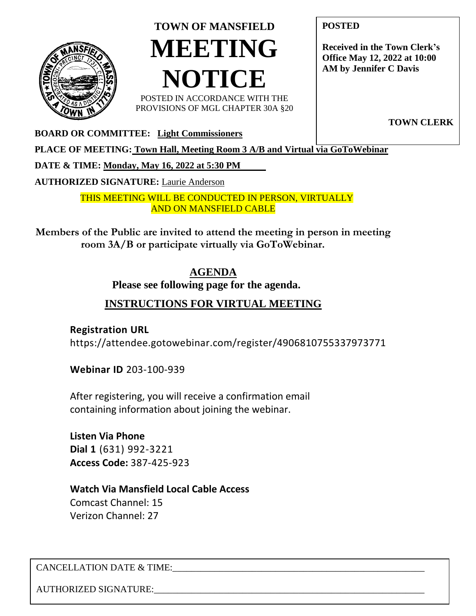

## **TOWN OF MANSFIELD MEETING NOTICE**

POSTED IN ACCORDANCE WITH THE PROVISIONS OF MGL CHAPTER 30A §20 **POSTED**

**Received in the Town Clerk's Office May 12, 2022 at 10:00 AM by Jennifer C Davis**

**TOWN CLERK**

**BOARD OR COMMITTEE: Light Commissioners**

**PLACE OF MEETING: Town Hall, Meeting Room 3 A/B and Virtual via GoToWebinar** 

**DATE & TIME: Monday, May 16, 2022 at 5:30 PM** 

**AUTHORIZED SIGNATURE:** Laurie Anderson

THIS MEETING WILL BE CONDUCTED IN PERSON, VIRTUALLY AND ON MANSFIELD CABLE

**Members of the Public are invited to attend the meeting in person in meeting room 3A/B or participate virtually via GoToWebinar.**

## **AGENDA**

**Please see following page for the agenda.**

## **INSTRUCTIONS FOR VIRTUAL MEETING**

**Registration URL** <https://attendee.gotowebinar.com/register/4906810755337973771>

**Webinar ID** 203-100-939

After registering, you will receive a confirmation email containing information about joining the webinar.

**Listen Via Phone Dial 1** (631) 992-3221 **Access Code:** 387-425-923

**Watch Via Mansfield Local Cable Access** Comcast Channel: 15 Verizon Channel: 27

CANCELLATION DATE & TIME:

AUTHORIZED SIGNATURE: